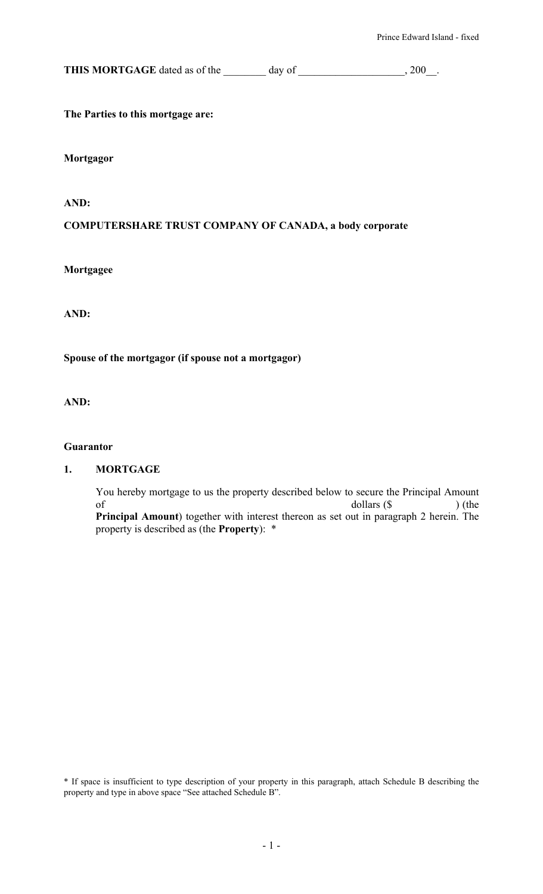**THIS MORTGAGE** dated as of the \_\_\_\_\_\_\_ day of \_\_\_\_\_\_\_\_\_\_\_\_\_\_\_\_, 200\_.

**The Parties to this mortgage are:** 

**Mortgagor** 

**AND:** 

#### **COMPUTERSHARE TRUST COMPANY OF CANADA, a body corporate**

**Mortgagee** 

**AND:** 

**Spouse of the mortgagor (if spouse not a mortgagor)** 

**AND:** 

#### **Guarantor**

#### **1. MORTGAGE**

You hereby mortgage to us the property described below to secure the Principal Amount  $\text{dollars } (\text{\$} \qquad \text{)} \text{ (the }$ **Principal Amount**) together with interest thereon as set out in paragraph 2 herein. The property is described as (the **Property**): \*

\* If space is insufficient to type description of your property in this paragraph, attach Schedule B describing the property and type in above space "See attached Schedule B".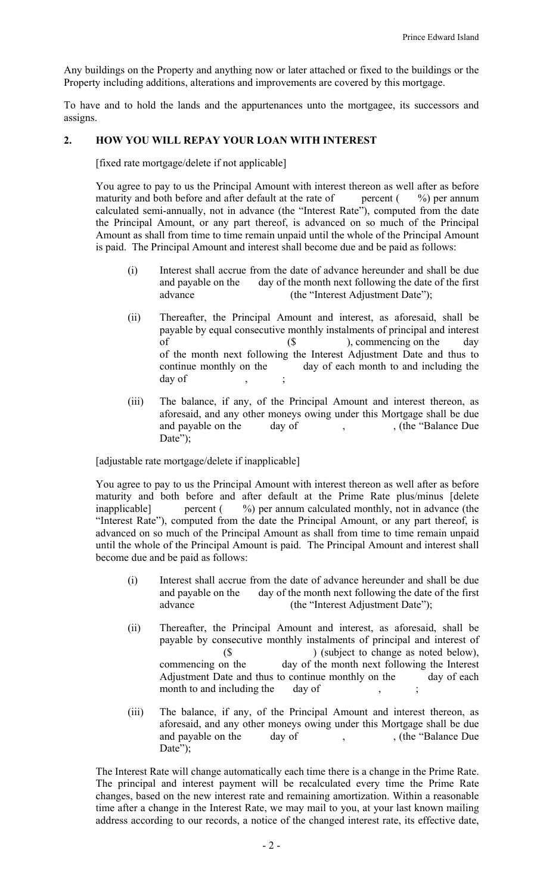Any buildings on the Property and anything now or later attached or fixed to the buildings or the Property including additions, alterations and improvements are covered by this mortgage.

To have and to hold the lands and the appurtenances unto the mortgagee, its successors and assigns.

### **2. HOW YOU WILL REPAY YOUR LOAN WITH INTEREST**

[fixed rate mortgage/delete if not applicable]

You agree to pay to us the Principal Amount with interest thereon as well after as before maturity and both before and after default at the rate of percent  $( %)$  per annum calculated semi-annually, not in advance (the "Interest Rate"), computed from the date the Principal Amount, or any part thereof, is advanced on so much of the Principal Amount as shall from time to time remain unpaid until the whole of the Principal Amount is paid. The Principal Amount and interest shall become due and be paid as follows:

- (i) Interest shall accrue from the date of advance hereunder and shall be due and payable on the day of the month next following the date of the first advance (the "Interest Adjustment Date");
- (ii) Thereafter, the Principal Amount and interest, as aforesaid, shall be payable by equal consecutive monthly instalments of principal and interest of (\$), commencing on the day of the month next following the Interest Adjustment Date and thus to continue monthly on the day of each month to and including the day of
- (iii) The balance, if any, of the Principal Amount and interest thereon, as aforesaid, and any other moneys owing under this Mortgage shall be due and payable on the day of , (the "Balance Due") Date");

[adjustable rate mortgage/delete if inapplicable]

You agree to pay to us the Principal Amount with interest thereon as well after as before maturity and both before and after default at the Prime Rate plus/minus [delete inapplicable] percent (  $\%$ ) per annum calculated monthly, not in advance (the "Interest Rate"), computed from the date the Principal Amount, or any part thereof, is advanced on so much of the Principal Amount as shall from time to time remain unpaid until the whole of the Principal Amount is paid. The Principal Amount and interest shall become due and be paid as follows:

- (i) Interest shall accrue from the date of advance hereunder and shall be due and payable on the day of the month next following the date of the first advance (the "Interest Adjustment Date");
- (ii) Thereafter, the Principal Amount and interest, as aforesaid, shall be payable by consecutive monthly instalments of principal and interest of (\$ ) (subject to change as noted below), commencing on the day of the month next following the Interest Adjustment Date and thus to continue monthly on the day of each month to and including the day of
- (iii) The balance, if any, of the Principal Amount and interest thereon, as aforesaid, and any other moneys owing under this Mortgage shall be due and payable on the day of , (the "Balance Due") Date");

The Interest Rate will change automatically each time there is a change in the Prime Rate. The principal and interest payment will be recalculated every time the Prime Rate changes, based on the new interest rate and remaining amortization. Within a reasonable time after a change in the Interest Rate, we may mail to you, at your last known mailing address according to our records, a notice of the changed interest rate, its effective date,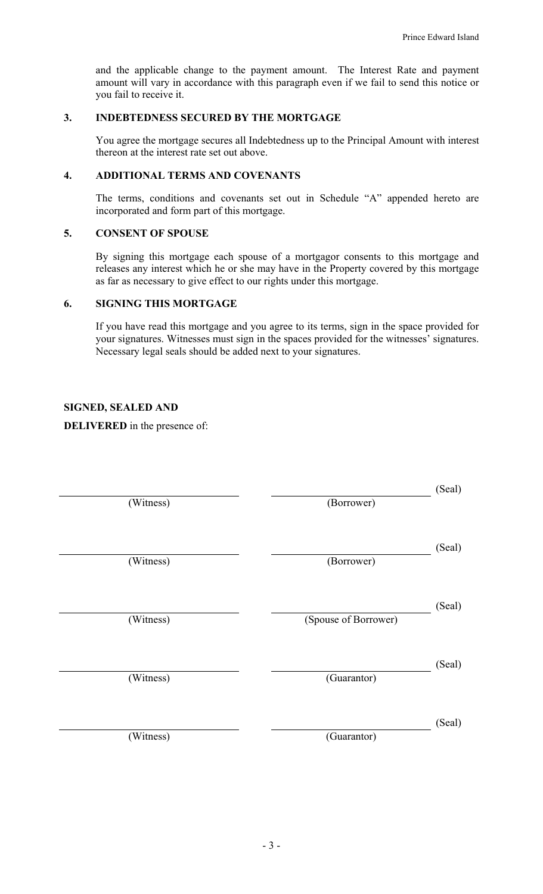and the applicable change to the payment amount. The Interest Rate and payment amount will vary in accordance with this paragraph even if we fail to send this notice or you fail to receive it.

### **3. INDEBTEDNESS SECURED BY THE MORTGAGE**

You agree the mortgage secures all Indebtedness up to the Principal Amount with interest thereon at the interest rate set out above.

### **4. ADDITIONAL TERMS AND COVENANTS**

The terms, conditions and covenants set out in Schedule "A" appended hereto are incorporated and form part of this mortgage.

#### **5. CONSENT OF SPOUSE**

By signing this mortgage each spouse of a mortgagor consents to this mortgage and releases any interest which he or she may have in the Property covered by this mortgage as far as necessary to give effect to our rights under this mortgage.

#### **6. SIGNING THIS MORTGAGE**

If you have read this mortgage and you agree to its terms, sign in the space provided for your signatures. Witnesses must sign in the spaces provided for the witnesses' signatures. Necessary legal seals should be added next to your signatures.

#### **SIGNED, SEALED AND**

**DELIVERED** in the presence of:

| (Witness) | (Borrower)           | (Seal) |
|-----------|----------------------|--------|
| (Witness) | (Borrower)           | (Seal) |
| (Witness) | (Spouse of Borrower) | (Seal) |
| (Witness) | (Guarantor)          | (Seal) |
| (Witness) | (Guarantor)          | (Seal) |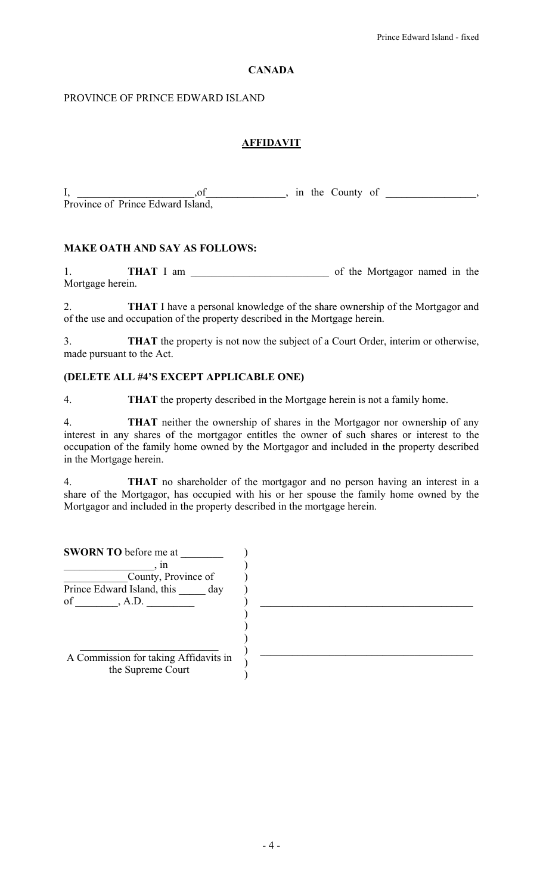### **CANADA**

### PROVINCE OF PRINCE EDWARD ISLAND

# **AFFIDAVIT**

I, \_\_\_\_\_\_\_\_\_\_\_\_\_\_\_\_\_,of \_\_\_\_\_\_\_\_\_\_\_, in the County of \_\_\_\_\_\_\_\_\_\_\_\_, Province of Prince Edward Island,

### **MAKE OATH AND SAY AS FOLLOWS:**

1. **THAT** I am \_\_\_\_\_\_\_\_\_\_\_\_\_\_\_\_\_\_\_\_\_\_\_\_\_\_ of the Mortgagor named in the Mortgage herein.

2. **THAT** I have a personal knowledge of the share ownership of the Mortgagor and of the use and occupation of the property described in the Mortgage herein.

3. **THAT** the property is not now the subject of a Court Order, interim or otherwise, made pursuant to the Act.

## **(DELETE ALL #4'S EXCEPT APPLICABLE ONE)**

4. **THAT** the property described in the Mortgage herein is not a family home.

4. **THAT** neither the ownership of shares in the Mortgagor nor ownership of any interest in any shares of the mortgagor entitles the owner of such shares or interest to the occupation of the family home owned by the Mortgagor and included in the property described in the Mortgage herein.

4. **THAT** no shareholder of the mortgagor and no person having an interest in a share of the Mortgagor, has occupied with his or her spouse the family home owned by the Mortgagor and included in the property described in the mortgage herein.

| <b>SWORN TO before me at</b>                               |  |
|------------------------------------------------------------|--|
| ın                                                         |  |
| County, Province of                                        |  |
| Prince Edward Island, this day                             |  |
| of<br>A.D.                                                 |  |
|                                                            |  |
|                                                            |  |
|                                                            |  |
|                                                            |  |
| A Commission for taking Affidavits in<br>the Supreme Court |  |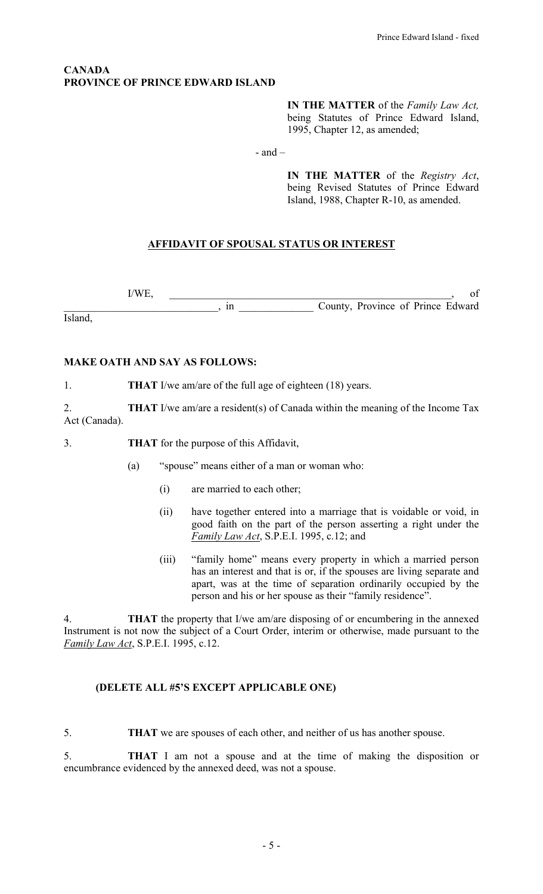### **CANADA PROVINCE OF PRINCE EDWARD ISLAND**

**IN THE MATTER** of the *Family Law Act,* being Statutes of Prince Edward Island, 1995, Chapter 12, as amended;

- and –

**IN THE MATTER** of the *Registry Act*, being Revised Statutes of Prince Edward Island, 1988, Chapter R-10, as amended.

## **AFFIDAVIT OF SPOUSAL STATUS OR INTEREST**

 $I/WE,$  of \_\_\_\_\_\_\_\_\_\_\_\_\_\_\_\_\_\_\_\_\_\_\_\_\_\_\_\_\_, in \_\_\_\_\_\_\_\_\_\_\_\_\_\_ County, Province of Prince Edward

Island,

### **MAKE OATH AND SAY AS FOLLOWS:**

1. **THAT** I/we am/are of the full age of eighteen (18) years.

2. **THAT** I/we am/are a resident(s) of Canada within the meaning of the Income Tax Act (Canada).

3. **THAT** for the purpose of this Affidavit,

- (a) "spouse" means either of a man or woman who:
	- (i) are married to each other;
	- (ii) have together entered into a marriage that is voidable or void, in good faith on the part of the person asserting a right under the *Family Law Act*, S.P.E.I. 1995, c.12; and
	- (iii) "family home" means every property in which a married person has an interest and that is or, if the spouses are living separate and apart, was at the time of separation ordinarily occupied by the person and his or her spouse as their "family residence".

4. **THAT** the property that I/we am/are disposing of or encumbering in the annexed Instrument is not now the subject of a Court Order, interim or otherwise, made pursuant to the *Family Law Act*, S.P.E.I. 1995, c.12.

#### **(DELETE ALL #5'S EXCEPT APPLICABLE ONE)**

5. **THAT** we are spouses of each other, and neither of us has another spouse.

5. **THAT** I am not a spouse and at the time of making the disposition or encumbrance evidenced by the annexed deed, was not a spouse.